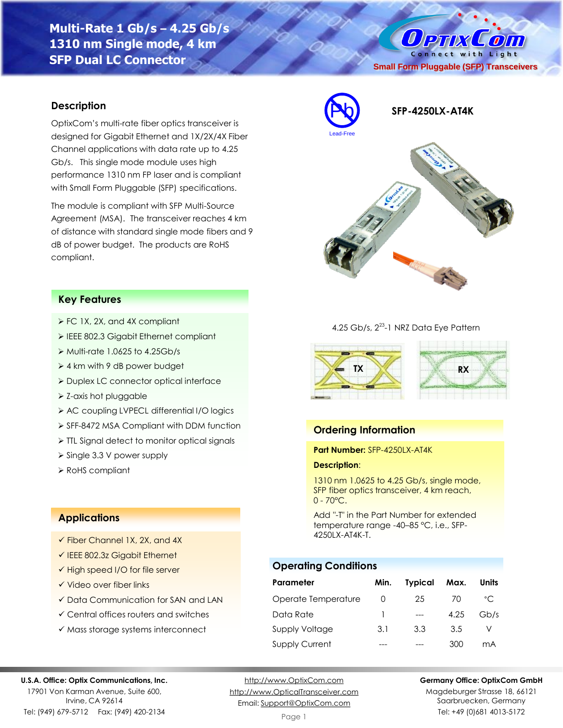**Multi-Rate 1 Gb/s – 4.25 Gb/s 1310 nm Single mode, 4 km SFP Dual LC Connector**



### **Description**

OptixCom's multi-rate fiber optics transceiver is designed for Gigabit Ethernet and 1X/2X/4X Fiber Channel applications with data rate up to 4.25 Gb/s. This single mode module uses high performance 1310 nm FP laser and is compliant with Small Form Pluggable (SFP) specifications.

The module is compliant with SFP Multi-Source Agreement (MSA). The transceiver reaches 4 km of distance with standard single mode fibers and 9 dB of power budget. The products are RoHS compliant.



### **Key Features**

- ➢ FC 1X, 2X, and 4X compliant
- ➢ IEEE 802.3 Gigabit Ethernet compliant
- ➢ Multi-rate 1.0625 to 4.25Gb/s
- ➢ 4 km with 9 dB power budget
- ➢ Duplex LC connector optical interface
- ➢ Z-axis hot pluggable
- ➢ AC coupling LVPECL differential I/O logics
- ➢ SFF-8472 MSA Compliant with DDM function
- ➢ TTL Signal detect to monitor optical signals
- ➢ Single 3.3 V power supply
- ➢ RoHS compliant

## **Applications**

- ✓ Fiber Channel 1X, 2X, and 4X
- ✓ IEEE 802.3z Gigabit Ethernet
- ✓ High speed I/O for file server
- ✓ Video over fiber links
- ✓ Data Communication for SAN and LAN
- ✓ Central offices routers and switches
- ✓ Mass storage systems interconnect

#### 4.25 Gb/s, 2<sup>23</sup>-1 NRZ Data Eye Pattern



### **Ordering Information**

#### **Part Number:** SFP-4250LX-AT4K

#### **Description**:

1310 nm 1.0625 to 4.25 Gb/s, single mode, SFP fiber optics transceiver, 4 km reach,  $0 - 70^{\circ}$ C.

Add "-T" in the Part Number for extended temperature range -40–85 °C, i.e., SFP-4250LX-AT4K-T.

## **Operating Conditions**

| Parameter             | Min.             | <b>Typical</b> | Max. | Units        |
|-----------------------|------------------|----------------|------|--------------|
| Operate Temperature   | $\left( \right)$ | 25             | 70   | $^{\circ}$ C |
| Data Rate             |                  |                | 4.25 | Gb/s         |
| Supply Voltage        | 3.1              | 3.3            | 3.5  |              |
| <b>Supply Current</b> |                  |                | 300  | mА           |

#### **U.S.A. Office: Optix Communications, Inc.**

17901 Von Karman Avenue, Suite 600, Irvine, CA 92614 Tel: (949) 679-5712 Fax: (949) 420-2134

[http://www.OptixCom.com](http://www.optixcom.com/) [http://www.OpticalTransceiver.com](http://www.optoictech.com/) Email: [Support@OptixCom.com](mailto:Support@optoICtech.com)

#### **Germany Office: OptixCom GmbH**

Magdeburger Strasse 18, 66121 Saarbruecken, Germany Tel: +49 (0)681 4013-5172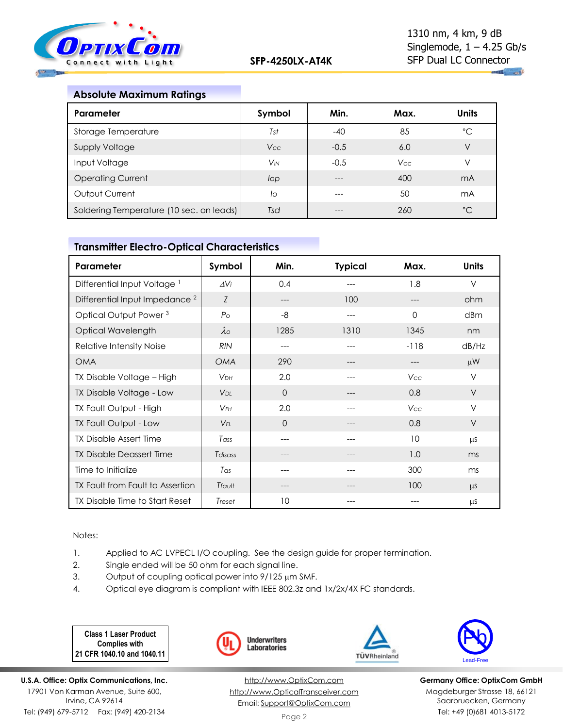

## **Absolute Maximum Ratings**

| Parameter                                | Symbol                | Min.   | Max.       | <b>Units</b> |
|------------------------------------------|-----------------------|--------|------------|--------------|
| Storage Temperature                      | Tst                   | $-40$  | 85         | °C           |
| <b>Supply Voltage</b>                    | Vcc                   | $-0.5$ | 6.0        | V            |
| Input Voltage                            | <b>V<sub>IN</sub></b> | $-0.5$ | <b>Vcc</b> | V            |
| <b>Operating Current</b>                 | lop                   |        | 400        | mA           |
| Output Current                           | lo                    | ---    | 50         | mA           |
| Soldering Temperature (10 sec. on leads) | Tsd                   |        | 260        | $^{\circ}$ C |

# **Transmitter Electro-Optical Characteristics**

| Parameter                                 | Symbol                | Min.     | <b>Typical</b> | Max.     | <b>Units</b> |
|-------------------------------------------|-----------------------|----------|----------------|----------|--------------|
| Differential Input Voltage <sup>1</sup>   | $\Delta V$ i          | 0.4      |                | 1.8      | $\vee$       |
| Differential Input Impedance <sup>2</sup> | Z                     | $---$    | 100            |          | ohm          |
| Optical Output Power <sup>3</sup>         | P <sub>O</sub>        | -8       | ---            | $\Omega$ | dBm          |
| Optical Wavelength                        | $\lambda$             | 1285     | 1310           | 1345     | nm           |
| Relative Intensity Noise                  | <b>RIN</b>            | ---      |                | $-118$   | dB/Hz        |
| <b>OMA</b>                                | <b>OMA</b>            | 290      |                | ---      | $\mu$ W      |
| TX Disable Voltage - High                 | <b>VDH</b>            | 2.0      | ---            | Vcc      | $\vee$       |
| TX Disable Voltage - Low                  | <b>V<sub>DL</sub></b> | $\Omega$ |                | 0.8      | $\vee$       |
| TX Fault Output - High                    | $V$ FH                | 2.0      |                | Vcc      | $\vee$       |
| TX Fault Output - Low                     | $V_{FL}$              | $\Omega$ |                | 0.8      | $\vee$       |
| <b>TX Disable Assert Time</b>             | Tass                  |          |                | 10       | μS           |
| <b>TX Disable Deassert Time</b>           | Tdisass               | ---      |                | 1.0      | ms           |
| Time to Initialize                        | Tas                   | ---      |                | 300      | ms           |
| TX Fault from Fault to Assertion          | Tfault                |          |                | 100      | <b>LLS</b>   |
| TX Disable Time to Start Reset            | Treset                | 10       |                |          | μS           |

Notes:

- 1. Applied to AC LVPECL I/O coupling. See the design guide for proper termination.
- 2. Single ended will be 50 ohm for each signal line.
- 3. Output of coupling optical power into  $9/125 \mu m$  SMF.
- 4. Optical eye diagram is compliant with IEEE 802.3z and 1x/2x/4X FC standards.

**Class 1 Laser Product Complies with 21 CFR 1040.10 and 1040.11**

**U.S.A. Office: Optix Communications, Inc.** 17901 Von Karman Avenue, Suite 600, Irvine, CA 92614 Tel: (949) 679-5712 Fax: (949) 420-2134



[http://www.OptixCom.com](http://www.optixcom.com/) [http://www.OpticalTransceiver.com](http://www.optoictech.com/) Email: [Support@OptixCom.com](mailto:Support@optoICtech.com)





**Germany Office: OptixCom GmbH** Magdeburger Strasse 18, 66121 Saarbruecken, Germany Tel: +49 (0)681 4013-5172